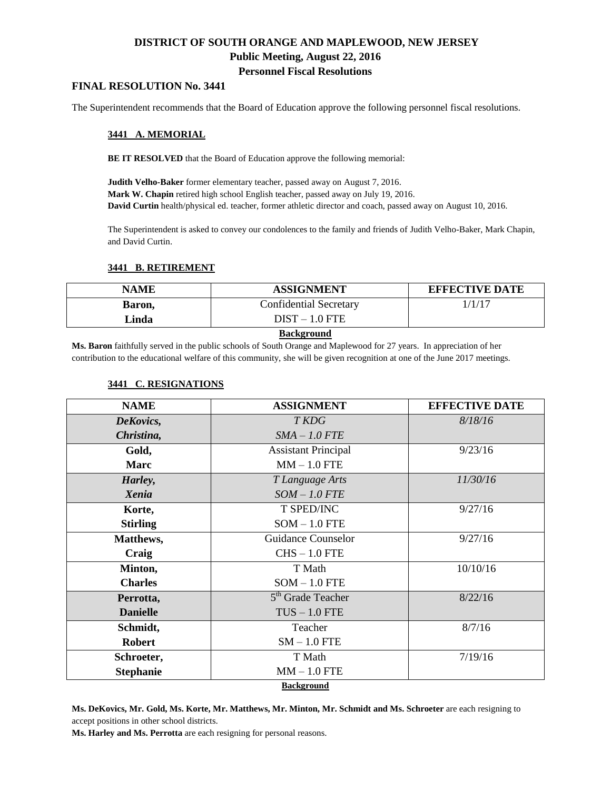# **DISTRICT OF SOUTH ORANGE AND MAPLEWOOD, NEW JERSEY Public Meeting, August 22, 2016 Personnel Fiscal Resolutions**

### **FINAL RESOLUTION No. 3441**

The Superintendent recommends that the Board of Education approve the following personnel fiscal resolutions.

#### **3441 A. MEMORIAL**

**BE IT RESOLVED** that the Board of Education approve the following memorial:

**Judith Velho-Baker** former elementary teacher, passed away on August 7, 2016. **Mark W. Chapin** retired high school English teacher, passed away on July 19, 2016. **David Curtin** health/physical ed. teacher, former athletic director and coach, passed away on August 10, 2016.

The Superintendent is asked to convey our condolences to the family and friends of Judith Velho-Baker, Mark Chapin, and David Curtin.

## **3441 B. RETIREMENT**

| <b>NAME</b>   | <b>ASSIGNMENT</b>             | <b>EFFECTIVE DATE</b> |  |
|---------------|-------------------------------|-----------------------|--|
| Baron,        | <b>Confidential Secretary</b> | 1/1/17                |  |
| Linda         | $DIST - 1.0$ FTE              |                       |  |
| Deelsenessed. |                               |                       |  |

#### **Background**

**Ms. Baron** faithfully served in the public schools of South Orange and Maplewood for 27 years. In appreciation of her contribution to the educational welfare of this community, she will be given recognition at one of the June 2017 meetings.

#### **3441 C. RESIGNATIONS**

| <b>NAME</b>      | <b>ASSIGNMENT</b>             | <b>EFFECTIVE DATE</b> |
|------------------|-------------------------------|-----------------------|
| DeKovics,        | T KDG                         | 8/18/16               |
| Christina,       | $SMA - 1.0$ FTE               |                       |
| Gold,            | <b>Assistant Principal</b>    | 9/23/16               |
| <b>Marc</b>      | $MM - 1.0$ FTE                |                       |
| Harley,          | T Language Arts               | 11/30/16              |
| Xenia            | $SOM-1.0$ FTE                 |                       |
| Korte,           | T SPED/INC                    | 9/27/16               |
| <b>Stirling</b>  | $SOM - 1.0$ FTE               |                       |
| Matthews,        | Guidance Counselor            | 9/27/16               |
| Craig            | $CHS - 1.0$ FTE               |                       |
| Minton,          | T Math                        | 10/10/16              |
| <b>Charles</b>   | $SOM - 1.0$ FTE               |                       |
| Perrotta,        | 5 <sup>th</sup> Grade Teacher | 8/22/16               |
| <b>Danielle</b>  | $TUS - 1.0$ FTE               |                       |
| Schmidt,         | Teacher                       | 8/7/16                |
| <b>Robert</b>    | $SM - 1.0$ FTE                |                       |
| Schroeter,       | T Math                        | 7/19/16               |
| <b>Stephanie</b> | $MM - 1.0$ FTE                |                       |
|                  | <b>Doolronound</b>            |                       |

**Background**

**Ms. DeKovics, Mr. Gold, Ms. Korte, Mr. Matthews, Mr. Minton, Mr. Schmidt and Ms. Schroeter** are each resigning to accept positions in other school districts.

**Ms. Harley and Ms. Perrotta** are each resigning for personal reasons.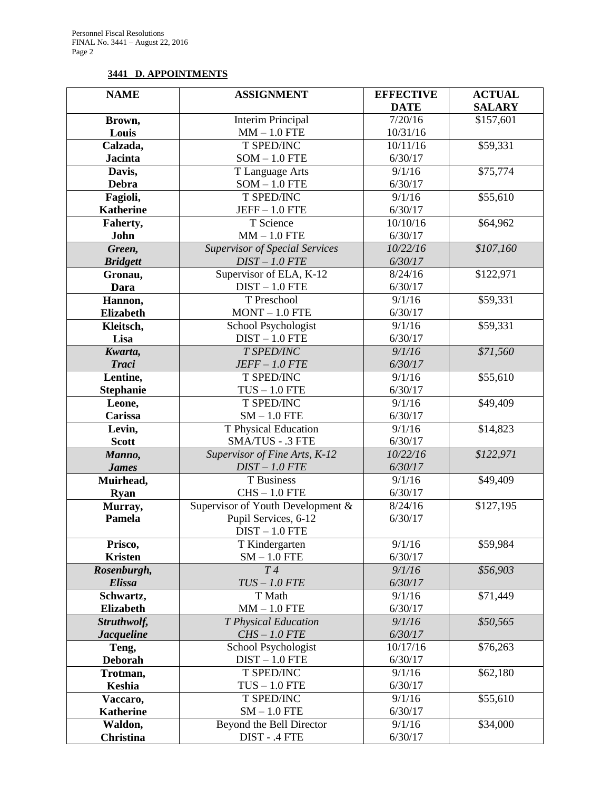# **3441 D. APPOINTMENTS**

| <b>NAME</b>            | <b>ASSIGNMENT</b>                        | <b>EFFECTIVE</b>  | <b>ACTUAL</b> |
|------------------------|------------------------------------------|-------------------|---------------|
|                        |                                          | <b>DATE</b>       | <b>SALARY</b> |
| Brown,                 | <b>Interim Principal</b>                 | 7/20/16           | \$157,601     |
| Louis                  | $MM - 1.0$ FTE                           | 10/31/16          |               |
| Calzada,               | T SPED/INC                               | 10/11/16          | \$59,331      |
| <b>Jacinta</b>         | $SOM - 1.0$ FTE                          | 6/30/17           |               |
| Davis,                 | T Language Arts                          | 9/1/16            | \$75,774      |
| <b>Debra</b>           | $SOM - 1.0$ FTE                          | 6/30/17           |               |
| Fagioli,               | T SPED/INC                               | 9/1/16            | \$55,610      |
| <b>Katherine</b>       | $JEFF-1.0$ FTE                           | 6/30/17           |               |
| Faherty,               | T Science                                | 10/10/16          | \$64,962      |
| John                   | $MM - 1.0$ FTE                           | 6/30/17           |               |
| Green,                 | <b>Supervisor of Special Services</b>    | 10/22/16          | \$107,160     |
| <b>Bridgett</b>        | $DIST-1.0$ $FTE$                         | 6/30/17           |               |
| Gronau,                | Supervisor of ELA, K-12                  | 8/24/16           | \$122,971     |
| Dara                   | $DIST - 1.0$ FTE                         | 6/30/17           |               |
| Hannon,                | T Preschool                              | 9/1/16            | \$59,331      |
| <b>Elizabeth</b>       | $MONT - 1.0 FTE$                         | 6/30/17           |               |
| Kleitsch,              | School Psychologist                      | 9/1/16            | \$59,331      |
| Lisa                   | $DIST - 1.0$ FTE                         | 6/30/17           |               |
| Kwarta,                | T SPED/INC                               | 9/1/16            | \$71,560      |
| <b>Traci</b>           | $JEFF-1.0$ $FTE$                         | 6/30/17           |               |
| Lentine,               | T SPED/INC                               | 9/1/16            | \$55,610      |
| <b>Stephanie</b>       | $TUS - 1.0$ FTE                          | 6/30/17           |               |
| Leone,                 | T SPED/INC                               | 9/1/16            | \$49,409      |
| Carissa                | $SM - 1.0$ FTE                           | 6/30/17           |               |
| Levin,<br><b>Scott</b> | T Physical Education<br>SMA/TUS - .3 FTE | 9/1/16<br>6/30/17 | \$14,823      |
| Manno,                 | Supervisor of Fine Arts, K-12            | 10/22/16          | \$122,971     |
| <b>James</b>           | $DIST-1.0$ $FTE$                         | 6/30/17           |               |
| Muirhead,              | T Business                               | 9/1/16            | \$49,409      |
| <b>Ryan</b>            | $CHS - 1.0$ FTE                          | 6/30/17           |               |
| Murray,                | Supervisor of Youth Development &        | 8/24/16           | \$127,195     |
| Pamela                 | Pupil Services, 6-12                     | 6/30/17           |               |
|                        | $DIST - 1.0$ FTE                         |                   |               |
| Prisco,                | T Kindergarten                           | 9/1/16            | \$59,984      |
| <b>Kristen</b>         | $SM - 1.0$ FTE                           | 6/30/17           |               |
| Rosenburgh,            | T4                                       | 9/1/16            | \$56,903      |
| <b>Elissa</b>          | $TUS - 1.0$ $FTE$                        | 6/30/17           |               |
| Schwartz,              | T Math                                   | 9/1/16            | \$71,449      |
| <b>Elizabeth</b>       | $MM - 1.0$ FTE                           | 6/30/17           |               |
| Struthwolf,            | T Physical Education                     | 9/1/16            | \$50,565      |
| <b>Jacqueline</b>      | $CHS-1.0$ FTE                            | 6/30/17           |               |
| Teng,                  | School Psychologist                      | 10/17/16          | \$76,263      |
| Deborah                | $DIST - 1.0$ FTE                         | 6/30/17           |               |
| Trotman,               | T SPED/INC                               | 9/1/16            | \$62,180      |
| Keshia                 | $TUS - 1.0$ FTE                          | 6/30/17           |               |
| Vaccaro,               | T SPED/INC                               | 9/1/16            | \$55,610      |
| <b>Katherine</b>       | $SM - 1.0$ FTE                           | 6/30/17           |               |
| Waldon,                | Beyond the Bell Director                 | 9/1/16            | \$34,000      |
| <b>Christina</b>       | DIST - .4 FTE                            | 6/30/17           |               |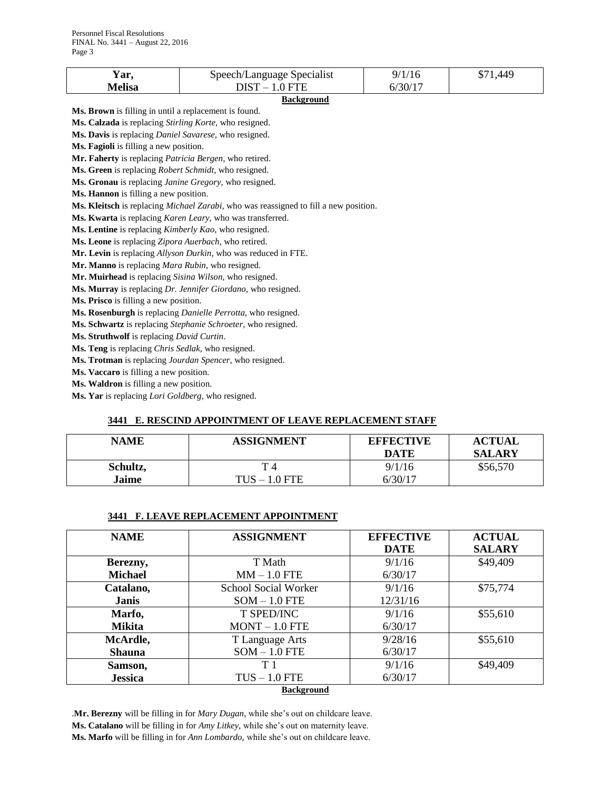| rar.   | Speech/Language Specialist |         | 440 |
|--------|----------------------------|---------|-----|
| Melisa | OIST<br>$0$ FTF            | J/30/17 |     |

#### **Background**

**Ms. Brown** is filling in until a replacement is found.

**Ms. Calzada** is replacing *Stirling Korte,* who resigned. **Ms. Davis** is replacing *Daniel Savarese,* who resigned.

**Ms. Fagioli** is filling a new position.

**Mr. Faherty** is replacing *Patricia Bergen,* who retired.

**Ms. Green** is replacing *Robert Schmidt,* who resigned.

**Ms. Gronau** is replacing *Janine Gregory,* who resigned.

**Ms. Hannon** is filling a new position.

**Ms. Kleitsch** is replacing *Michael Zarabi,* who was reassigned to fill a new position.

**Ms. Kwarta** is replacing *Karen Leary,* who was transferred.

**Ms. Lentine** is replacing *Kimberly Kao,* who resigned.

**Ms. Leone** is replacing *Zipora Auerbach,* who retired.

**Mr. Levin** is replacing *Allyson Durkin,* who was reduced in FTE.

**Mr. Manno** is replacing *Mara Rubin,* who resigned.

**Mr. Muirhead** is replacing *Sisina Wilson,* who resigned.

**Ms. Murray** is replacing *Dr. Jennifer Giordano,* who resigned.

**Ms. Prisco** is filling a new position.

**Ms. Rosenburgh** is replacing *Danielle Perrotta,* who resigned.

**Ms. Schwartz** is replacing *Stephanie Schroeter,* who resigned.

**Ms. Struthwolf** is replacing *David Curtin*.

**Ms. Teng** is replacing *Chris Sedlak,* who resigned.

**Ms. Trotman** is replacing *Jourdan Spencer,* who resigned.

**Ms. Vaccaro** is filling a new position.

**Ms. Waldron** is filling a new position.

**Ms. Yar** is replacing *Lori Goldberg,* who resigned.

#### **3441 E. RESCIND APPOINTMENT OF LEAVE REPLACEMENT STAFF**

| NAME     | <b>ASSIGNMENT</b> | <b>EFFECTIVE</b><br>DATE | <b>ACTUAL</b><br><b>SALARY</b> |
|----------|-------------------|--------------------------|--------------------------------|
| Schultz, |                   | 9/1/16                   | \$56,570                       |
| Jaime    | $TUS - 1.0$ FTE   | 6/30/17                  |                                |

#### **3441 F. LEAVE REPLACEMENT APPOINTMENT**

| <b>NAME</b>       | <b>ASSIGNMENT</b>    | <b>EFFECTIVE</b> | <b>ACTUAL</b> |  |
|-------------------|----------------------|------------------|---------------|--|
|                   |                      | <b>DATE</b>      | <b>SALARY</b> |  |
| Berezny,          | T Math               | 9/1/16           | \$49,409      |  |
| <b>Michael</b>    | $MM - 1.0$ FTE       | 6/30/17          |               |  |
| Catalano,         | School Social Worker | 9/1/16           | \$75,774      |  |
| <b>Janis</b>      | $SOM - 1.0$ FTE      | 12/31/16         |               |  |
| Marfo,            | <b>T SPED/INC</b>    | 9/1/16           | \$55,610      |  |
| <b>Mikita</b>     | $MONT - 1.0 FTE$     | 6/30/17          |               |  |
| McArdle,          | T Language Arts      | 9/28/16          | \$55,610      |  |
| <b>Shauna</b>     | $SOM - 1.0$ FTE      | 6/30/17          |               |  |
| Samson,           | T <sub>1</sub>       | 9/1/16           | \$49,409      |  |
| <b>Jessica</b>    | $TUS - 1.0$ FTE      | 6/30/17          |               |  |
| <b>Background</b> |                      |                  |               |  |

.**Mr. Berezny** will be filling in for *Mary Dugan,* while she's out on childcare leave. **Ms. Catalano** will be filling in for *Amy Litkey,* while she's out on maternity leave. **Ms. Marfo** will be filling in for *Ann Lombardo,* while she's out on childcare leave.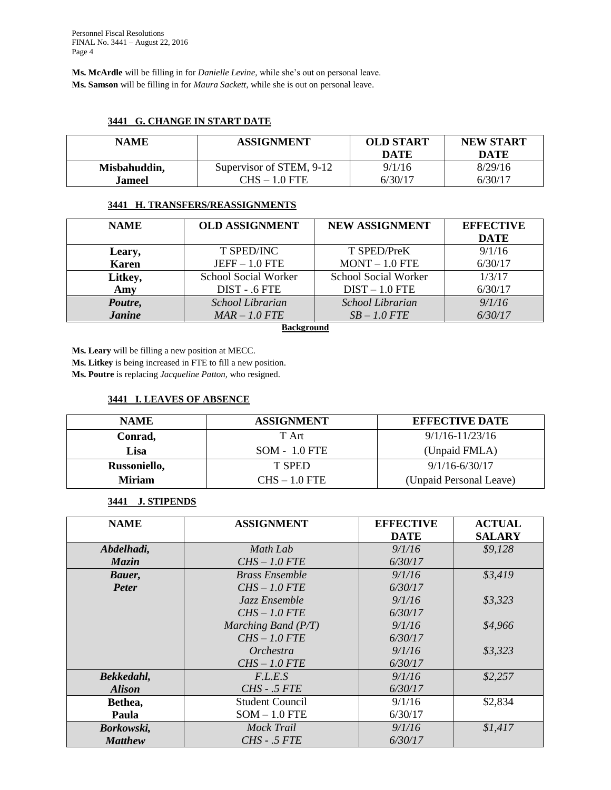**Ms. McArdle** will be filling in for *Danielle Levine,* while she's out on personal leave. **Ms. Samson** will be filling in for *Maura Sackett,* while she is out on personal leave.

## **3441 G. CHANGE IN START DATE**

| <b>NAME</b>  | <b>ASSIGNMENT</b>        | <b>OLD START</b><br><b>DATE</b> | <b>NEW START</b><br>DATE |
|--------------|--------------------------|---------------------------------|--------------------------|
| Misbahuddin, | Supervisor of STEM, 9-12 | 9/1/16                          | 8/29/16                  |
| Jameel.      | CHS – 1.0 FTE            | 6/30/17                         | 6/30/17                  |

#### **3441 H. TRANSFERS/REASSIGNMENTS**

| <b>NAME</b>   | <b>OLD ASSIGNMENT</b> | NEW ASSIGNMENT       | <b>EFFECTIVE</b> |
|---------------|-----------------------|----------------------|------------------|
|               |                       |                      | <b>DATE</b>      |
| Leary,        | T SPED/INC            | T SPED/PreK          | 9/1/16           |
| <b>Karen</b>  | $JEFF-1.0$ FTE        | $MONT - 1.0 FTE$     | 6/30/17          |
| Litkey,       | School Social Worker  | School Social Worker | 1/3/17           |
| Amy           | DIST - .6 FTE         | $DIST - 1.0$ FTE     | 6/30/17          |
| Poutre,       | School Librarian      | School Librarian     | 9/1/16           |
| <b>Janine</b> | $MAR - 1.0$ FTE       | $SB-1.0$ FTE         | 6/30/17          |

### **Background**

**Ms. Leary** will be filling a new position at MECC.

**Ms. Litkey** is being increased in FTE to fill a new position.

**Ms. Poutre** is replacing *Jacqueline Patton,* who resigned.

#### **3441 I. LEAVES OF ABSENCE**

| <b>NAME</b>   | <b>ASSIGNMENT</b> | <b>EFFECTIVE DATE</b>   |
|---------------|-------------------|-------------------------|
| Conrad,       | T Art             | $9/1/16 - 11/23/16$     |
| Lisa          | $SOM - 1.0$ FTE   | (Unpaid FMLA)           |
| Russoniello,  | T SPED            | $9/1/16 - 6/30/17$      |
| <b>Miriam</b> | $CHS - 1.0$ FTE   | (Unpaid Personal Leave) |

## **3441 J. STIPENDS**

| <b>NAME</b>    | <b>ASSIGNMENT</b>      | <b>EFFECTIVE</b> | <b>ACTUAL</b> |
|----------------|------------------------|------------------|---------------|
|                |                        | <b>DATE</b>      | <b>SALARY</b> |
| Abdelhadi,     | Math Lab               | 9/1/16           | \$9,128       |
| Mazin          | $CHS - 1.0$ FTE        | 6/30/17          |               |
| Bauer,         | <b>Brass Ensemble</b>  | 9/1/16           | \$3,419       |
| <b>Peter</b>   | $CHS-1.0$ FTE          | 6/30/17          |               |
|                | Jazz Ensemble          | 9/1/16           | \$3,323       |
|                | $CHS - 1.0$ FTE        | 6/30/17          |               |
|                | Marching Band $(P/T)$  | 9/1/16           | \$4,966       |
|                | $CHS-1.0$ FTE          | 6/30/17          |               |
|                | Orchestra              | 9/1/16           | \$3,323       |
|                | $CHS-1.0$ FTE          | 6/30/17          |               |
| Bekkedahl,     | F.L.E.S                | 9/1/16           | \$2,257       |
| <b>Alison</b>  | CHS - .5 FTE           | 6/30/17          |               |
| Bethea,        | <b>Student Council</b> | 9/1/16           | \$2,834       |
| Paula          | $SOM - 1.0$ FTE        | 6/30/17          |               |
| Borkowski,     | Mock Trail             | 9/1/16           | \$1,417       |
| <b>Matthew</b> | <i>CHS - .5 FTE</i>    | 6/30/17          |               |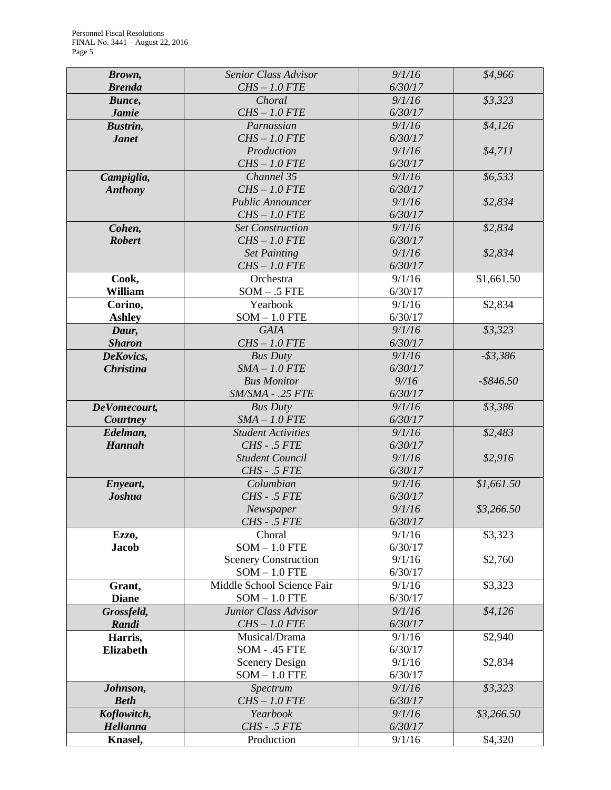| Brown,           | Senior Class Advisor        | 9/1/16            | \$4,966      |
|------------------|-----------------------------|-------------------|--------------|
| <b>Brenda</b>    | $CHS-1.0$ FTE               | 6/30/17           |              |
| Bunce,           | Choral                      | 9/1/16            | \$3,323      |
| <b>Jamie</b>     | $CHS-1.0$ FTE               | 6/30/17           |              |
| Bustrin,         | Parnassian                  | 9/1/16            | \$4,126      |
| <b>Janet</b>     | $CHS-1.0$ FTE               | 6/30/17           |              |
|                  | Production                  | 9/1/16            | \$4,711      |
|                  | $CHS-1.0$ FTE               | 6/30/17           |              |
| Campiglia,       | Channel 35                  | 9/1/16            | \$6,533      |
| <b>Anthony</b>   | $CHS-1.0$ FTE               | 6/30/17           |              |
|                  | <b>Public Announcer</b>     | 9/1/16            | \$2,834      |
|                  | $CHS-1.0$ FTE               | 6/30/17           |              |
| Cohen,           | <b>Set Construction</b>     | 9/1/16            | \$2,834      |
| <b>Robert</b>    | $CHS-1.0$ FTE               | 6/30/17           |              |
|                  | <b>Set Painting</b>         | 9/1/16            | \$2,834      |
|                  | $CHS-1.0$ FTE               | 6/30/17           |              |
| Cook,            | Orchestra                   | 9/1/16            | \$1,661.50   |
| William          | $SOM - .5$ FTE              | 6/30/17           |              |
| Corino,          | Yearbook                    | 9/1/16            | \$2,834      |
| <b>Ashley</b>    | $SOM - 1.0$ FTE             | 6/30/17           |              |
| Daur,            | <b>GAIA</b>                 | 9/1/16            | \$3,323      |
| <b>Sharon</b>    | $CHS-1.0$ FTE               | 6/30/17           |              |
| DeKovics,        | <b>Bus Duty</b>             | 9/1/16            | $- $3,386$   |
| <b>Christina</b> | $SMA - 1.0$ FTE             | 6/30/17           |              |
|                  | <b>Bus Monitor</b>          | 9/16              | $-$ \$846.50 |
|                  | SM/SMA - .25 FTE            | 6/30/17           |              |
| DeVomecourt,     | <b>Bus Duty</b>             | 9/1/16            | \$3,386      |
| Courtney         | $SMA - 1.0$ FTE             | 6/30/17           |              |
| Edelman,         | <b>Student Activities</b>   | 9/1/16            | \$2,483      |
| <b>Hannah</b>    | CHS - .5 FTE                | 6/30/17           |              |
|                  | <b>Student Council</b>      | 9/1/16            | \$2,916      |
|                  | CHS - .5 FTE                | 6/30/17           |              |
| Enyeart,         | Columbian                   | 9/1/16            | \$1,661.50   |
| <b>Joshua</b>    | CHS - .5 FTE                | 6/30/17<br>9/1/16 | \$3,266.50   |
|                  | Newspaper<br>CHS - .5 FTE   | 6/30/17           |              |
| Ezzo,            | Choral                      | 9/1/16            | \$3,323      |
| <b>Jacob</b>     | $SOM - 1.0$ FTE             | 6/30/17           |              |
|                  | <b>Scenery Construction</b> | 9/1/16            | \$2,760      |
|                  | $SOM - 1.0$ FTE             | 6/30/17           |              |
| Grant,           | Middle School Science Fair  | 9/1/16            | \$3,323      |
| <b>Diane</b>     | $SOM - 1.0$ FTE             | 6/30/17           |              |
| Grossfeld,       | Junior Class Advisor        | 9/1/16            | \$4,126      |
| Randi            | $CHS-1.0$ FTE               | 6/30/17           |              |
| Harris,          | Musical/Drama               | 9/1/16            | \$2,940      |
| <b>Elizabeth</b> | <b>SOM - .45 FTE</b>        | 6/30/17           |              |
|                  | <b>Scenery Design</b>       | 9/1/16            | \$2,834      |
|                  | $SOM - 1.0$ FTE             | 6/30/17           |              |
| Johnson,         | Spectrum                    | 9/1/16            | \$3,323      |
| <b>Beth</b>      | $CHS-1.0$ FTE               | 6/30/17           |              |
| Koflowitch,      | Yearbook                    | 9/1/16            | \$3,266.50   |
| Hellanna         | CHS - .5 FTE                | 6/30/17           |              |
| Knasel,          | Production                  | 9/1/16            | \$4,320      |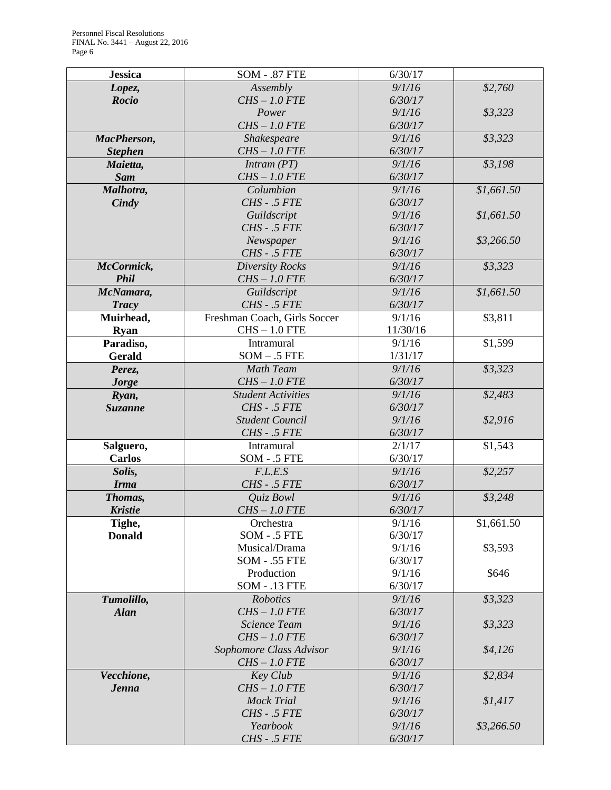| <b>Jessica</b> | <b>SOM - .87 FTE</b>            | 6/30/17           |            |
|----------------|---------------------------------|-------------------|------------|
| Lopez,         | Assembly                        | 9/1/16            | \$2,760    |
| <b>Rocio</b>   | $CHS-1.0$ FTE                   | 6/30/17           |            |
|                | Power                           | 9/1/16            | \$3,323    |
|                | $CHS-1.0$ $FTE$                 | 6/30/17           |            |
| MacPherson,    | Shakespeare                     | 9/1/16            | \$3,323    |
| <b>Stephen</b> | $CHS-1.0$ FTE                   | 6/30/17           |            |
| Maietta,       | Intram (PT)                     | 9/1/16            | \$3,198    |
| <b>Sam</b>     | $CHS-1.0$ FTE                   | 6/30/17           |            |
| Malhotra,      | Columbian                       | 9/1/16            | \$1,661.50 |
| Cindy          | CHS - .5 FTE                    | 6/30/17           |            |
|                | Guildscript                     | 9/1/16            | \$1,661.50 |
|                | CHS - .5 FTE                    | 6/30/17           |            |
|                | Newspaper                       | 9/1/16            | \$3,266.50 |
|                | CHS - .5 FTE                    | 6/30/17           |            |
| McCormick,     | <b>Diversity Rocks</b>          | 9/1/16            | \$3,323    |
| <b>Phil</b>    | $CHS-1.0$ FTE                   | 6/30/17           |            |
| McNamara,      | Guildscript                     | 9/1/16            | \$1,661.50 |
| <b>Tracy</b>   | $CHS - .5$ $FTE$                | 6/30/17           |            |
| Muirhead,      | Freshman Coach, Girls Soccer    | 9/1/16            | \$3,811    |
| <b>Ryan</b>    | $CHS - 1.0$ FTE                 | 11/30/16          |            |
| Paradiso,      | Intramural                      | 9/1/16            | \$1,599    |
| <b>Gerald</b>  | $SOM - .5$ FTE                  | 1/31/17           |            |
| Perez,         | <b>Math Team</b>                | 9/1/16            | \$3,323    |
| <b>Jorge</b>   | $CHS-1.0$ FTE                   | 6/30/17           |            |
| Ryan,          | <b>Student Activities</b>       | 9/1/16            | \$2,483    |
| <b>Suzanne</b> | $CHS - .5$ $FTE$                | 6/30/17           |            |
|                | <b>Student Council</b>          | 9/1/16            | \$2,916    |
|                | CHS - .5 FTE                    | 6/30/17           |            |
| Salguero,      | Intramural                      | 2/1/17            | \$1,543    |
| <b>Carlos</b>  | SOM - .5 FTE                    | 6/30/17           |            |
| Solis,         | F.L.E.S                         | 9/1/16            | \$2,257    |
| <b>Irma</b>    | CHS - .5 FTE                    | 6/30/17           |            |
| Thomas,        | Quiz Bowl                       | 9/1/16            | \$3,248    |
| <b>Kristie</b> | $CHS-1.0$ FTE                   | 6/30/17           |            |
| Tighe,         | Orchestra                       | 9/1/16            | \$1,661.50 |
| <b>Donald</b>  | $SOM - .5$ FTE<br>Musical/Drama | 6/30/17           |            |
|                | <b>SOM - .55 FTE</b>            | 9/1/16<br>6/30/17 | \$3,593    |
|                | Production                      | 9/1/16            | \$646      |
|                | <b>SOM - .13 FTE</b>            | 6/30/17           |            |
| Tumolillo,     | Robotics                        | 9/1/16            | \$3,323    |
| <b>Alan</b>    | $CHS-1.0$ FTE                   | 6/30/17           |            |
|                | <b>Science Team</b>             | 9/1/16            | \$3,323    |
|                | $CHS-1.0$ FTE                   | 6/30/17           |            |
|                | Sophomore Class Advisor         | 9/1/16            | \$4,126    |
|                | $CHS-1.0$ FTE                   | 6/30/17           |            |
| Vecchione,     | Key Club                        | 9/1/16            | \$2,834    |
| <b>Jenna</b>   | $CHS-1.0$ FTE                   | 6/30/17           |            |
|                | <b>Mock Trial</b>               | 9/1/16            | \$1,417    |
|                | CHS - .5 FTE                    | 6/30/17           |            |
|                | Yearbook                        | 9/1/16            | \$3,266.50 |
|                | CHS - .5 FTE                    | 6/30/17           |            |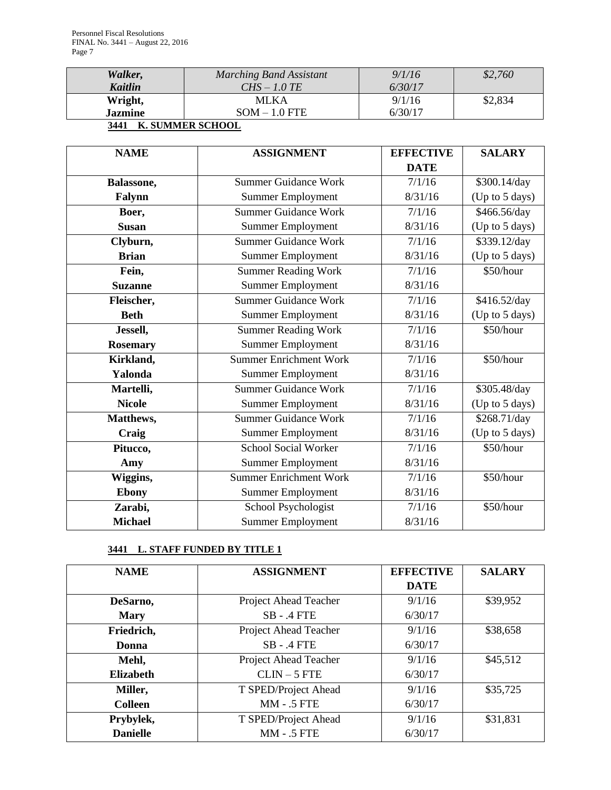| Walker,                                    | Marching Band Assistant | 9/1/16  | \$2,760 |
|--------------------------------------------|-------------------------|---------|---------|
| Kaitlin                                    | $CHS-1.0 TE$            | 6/30/17 |         |
| Wright,                                    | <b>MLKA</b>             | 9/1/16  | \$2,834 |
| <b>Jazmine</b>                             | $SOM - 1.0$ FTE         | 6/30/17 |         |
| - - - - -<br>__ _ __<br>____ _ _ _ _ _ _ _ |                         |         |         |

# **3441 K. SUMMER SCHOOL**

| <b>NAME</b>     | <b>ASSIGNMENT</b>             | <b>EFFECTIVE</b> | <b>SALARY</b>  |
|-----------------|-------------------------------|------------------|----------------|
|                 |                               | <b>DATE</b>      |                |
| Balassone,      | <b>Summer Guidance Work</b>   | 7/1/16           | \$300.14/day   |
| Falynn          | Summer Employment             | 8/31/16          | (Up to 5 days) |
| Boer,           | <b>Summer Guidance Work</b>   | 7/1/16           | \$466.56/day   |
| <b>Susan</b>    | <b>Summer Employment</b>      | 8/31/16          | (Up to 5 days) |
| Clyburn,        | <b>Summer Guidance Work</b>   | 7/1/16           | \$339.12/day   |
| <b>Brian</b>    | <b>Summer Employment</b>      | 8/31/16          | (Up to 5 days) |
| Fein,           | <b>Summer Reading Work</b>    | 7/1/16           | \$50/hour      |
| <b>Suzanne</b>  | <b>Summer Employment</b>      | 8/31/16          |                |
| Fleischer,      | <b>Summer Guidance Work</b>   | 7/1/16           | \$416.52/day   |
| <b>Beth</b>     | <b>Summer Employment</b>      | 8/31/16          | (Up to 5 days) |
| Jessell,        | <b>Summer Reading Work</b>    | 7/1/16           | \$50/hour      |
| <b>Rosemary</b> | <b>Summer Employment</b>      | 8/31/16          |                |
| Kirkland,       | <b>Summer Enrichment Work</b> | 7/1/16           | \$50/hour      |
| Yalonda         | <b>Summer Employment</b>      | 8/31/16          |                |
| Martelli,       | <b>Summer Guidance Work</b>   | 7/1/16           | \$305.48/day   |
| <b>Nicole</b>   | <b>Summer Employment</b>      | 8/31/16          | (Up to 5 days) |
| Matthews,       | <b>Summer Guidance Work</b>   | 7/1/16           | \$268.71/day   |
| Craig           | Summer Employment             | 8/31/16          | (Up to 5 days) |
| Pitucco,        | <b>School Social Worker</b>   | 7/1/16           | \$50/hour      |
| Amy             | <b>Summer Employment</b>      | 8/31/16          |                |
| Wiggins,        | <b>Summer Enrichment Work</b> | 7/1/16           | \$50/hour      |
| <b>Ebony</b>    | <b>Summer Employment</b>      | 8/31/16          |                |
| Zarabi,         | School Psychologist           | 7/1/16           | \$50/hour      |
| <b>Michael</b>  | <b>Summer Employment</b>      | 8/31/16          |                |

# **3441 L. STAFF FUNDED BY TITLE 1**

| <b>NAME</b>      | <b>ASSIGNMENT</b>     | <b>EFFECTIVE</b> | <b>SALARY</b> |
|------------------|-----------------------|------------------|---------------|
|                  |                       | <b>DATE</b>      |               |
| DeSarno,         | Project Ahead Teacher | 9/1/16           | \$39,952      |
| <b>Mary</b>      | $SB - A FTE$          | 6/30/17          |               |
| Friedrich,       | Project Ahead Teacher | 9/1/16           | \$38,658      |
| Donna            | $SB - A FTE$          | 6/30/17          |               |
| Mehl,            | Project Ahead Teacher | 9/1/16           | \$45,512      |
| <b>Elizabeth</b> | $CLIN - 5$ FTE        | 6/30/17          |               |
| Miller,          | T SPED/Project Ahead  | 9/1/16           | \$35,725      |
| <b>Colleen</b>   | <b>MM - .5 FTE</b>    | 6/30/17          |               |
| Prybylek,        | T SPED/Project Ahead  | 9/1/16           | \$31,831      |
| <b>Danielle</b>  | <b>MM - .5 FTE</b>    | 6/30/17          |               |